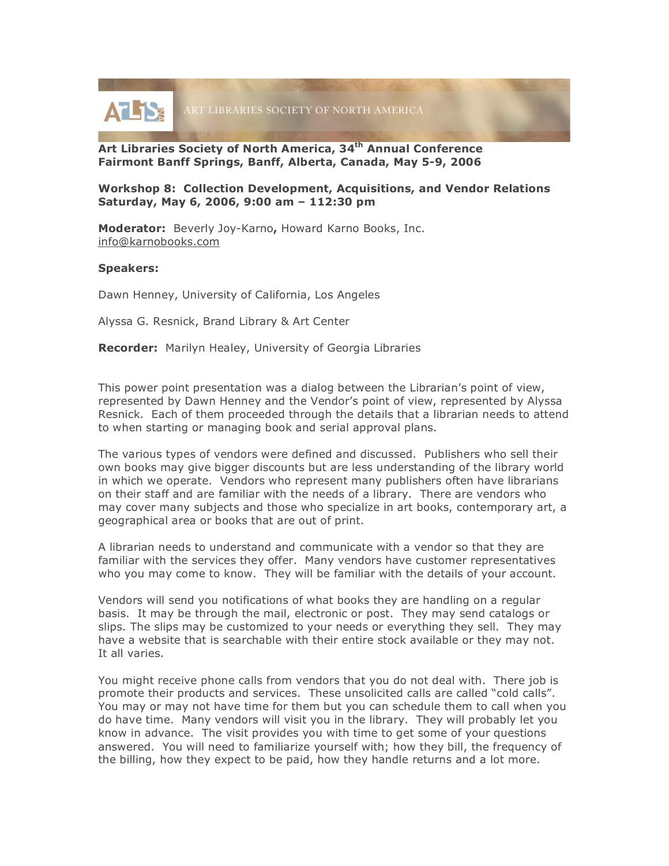

**Art Libraries Society of North America, 34th Annual Conference Fairmont Banff Springs, Banff, Alberta, Canada, May 5-9, 2006**

**Workshop 8: Collection Development, Acquisitions, and Vendor Relations Saturday, May 6, 2006, 9:00 am – 112:30 pm**

**Moderator:** Beverly Joy-Karno**,** Howard Karno Books, Inc. info@karnobooks.com

## **Speakers:**

Dawn Henney, University of California, Los Angeles

Alyssa G. Resnick, Brand Library & Art Center

**Recorder:** Marilyn Healey, University of Georgia Libraries

This power point presentation was a dialog between the Librarian's point of view, represented by Dawn Henney and the Vendor's point of view, represented by Alyssa Resnick. Each of them proceeded through the details that a librarian needs to attend to when starting or managing book and serial approval plans.

The various types of vendors were defined and discussed. Publishers who sell their own books may give bigger discounts but are less understanding of the library world in which we operate. Vendors who represent many publishers often have librarians on their staff and are familiar with the needs of a library. There are vendors who may cover many subjects and those who specialize in art books, contemporary art, a geographical area or books that are out of print.

A librarian needs to understand and communicate with a vendor so that they are familiar with the services they offer. Many vendors have customer representatives who you may come to know. They will be familiar with the details of your account.

Vendors will send you notifications of what books they are handling on a regular basis. It may be through the mail, electronic or post. They may send catalogs or slips. The slips may be customized to your needs or everything they sell. They may have a website that is searchable with their entire stock available or they may not. It all varies.

You might receive phone calls from vendors that you do not deal with. There job is promote their products and services. These unsolicited calls are called "cold calls". You may or may not have time for them but you can schedule them to call when you do have time. Many vendors will visit you in the library. They will probably let you know in advance. The visit provides you with time to get some of your questions answered. You will need to familiarize yourself with; how they bill, the frequency of the billing, how they expect to be paid, how they handle returns and a lot more.